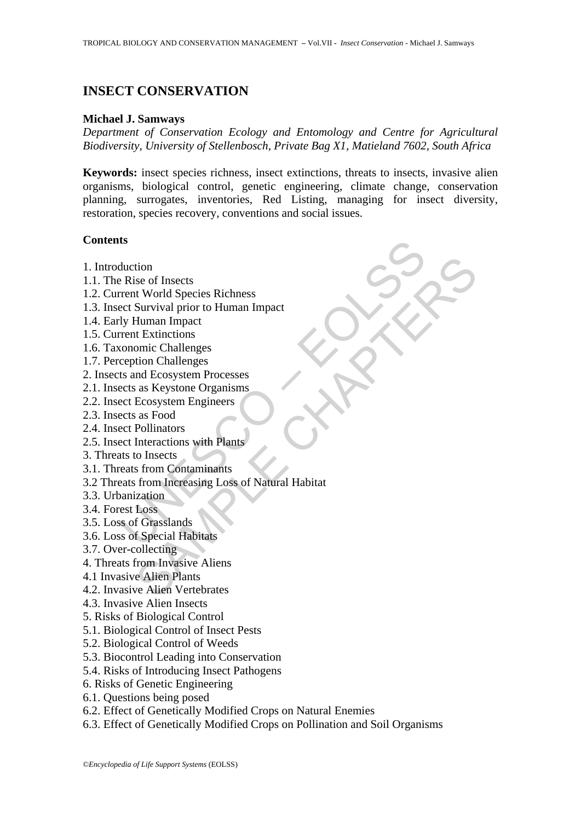# **INSECT CONSERVATION**

## **Michael J. Samways**

*Department of Conservation Ecology and Entomology and Centre for Agricultural Biodiversity, University of Stellenbosch, Private Bag X1, Matieland 7602, South Africa* 

**Keywords:** insect species richness, insect extinctions, threats to insects, invasive alien organisms, biological control, genetic engineering, climate change, conservation planning, surrogates, inventories, Red Listing, managing for insect diversity, restoration, species recovery, conventions and social issues.

## **Contents**

- 1. Introduction
- 1.1. The Rise of Insects
- 1.2. Current World Species Richness
- 1.3. Insect Survival prior to Human Impact
- 1.4. Early Human Impact
- 1.5. Current Extinctions
- 1.6. Taxonomic Challenges
- 1.7. Perception Challenges
- 2. Insects and Ecosystem Processes
- 2.1. Insects as Keystone Organisms
- 2.2. Insect Ecosystem Engineers
- 2.3. Insects as Food
- 2.4. Insect Pollinators
- 2.5. Insect Interactions with Plants
- 3. Threats to Insects
- 3.1. Threats from Contaminants
- **ts**<br>
duction<br>
P. Rise of Insects<br>
rent World Species Richness<br>
ect Survival prior to Human Impact<br>
dy Human Impact<br>
dy Human Impact<br>
Uy Human Impact<br>
consumer Challenges<br>
ception Challenges<br>
reption Challenges<br>
ect Ecosys tion<br>
is e of Insects<br>
at World Species Richness<br>
Survival prior to Human Impact<br>
Human Impact<br>
Human Impact<br>
Human Impact<br>
Human Impact<br>
Human Impact<br>
Econystem Processes<br>
ind Ecosystem Processes<br>
is as Keystone Organisms 3.2 Threats from Increasing Loss of Natural Habitat
- 3.3. Urbanization
- 3.4. Forest Loss
- 3.5. Loss of Grasslands
- 3.6. Loss of Special Habitats
- 3.7. Over-collecting
- 4. Threats from Invasive Aliens
- 4.1 Invasive Alien Plants
- 4.2. Invasive Alien Vertebrates
- 4.3. Invasive Alien Insects
- 5. Risks of Biological Control
- 5.1. Biological Control of Insect Pests
- 5.2. Biological Control of Weeds
- 5.3. Biocontrol Leading into Conservation
- 5.4. Risks of Introducing Insect Pathogens
- 6. Risks of Genetic Engineering
- 6.1. Questions being posed
- 6.2. Effect of Genetically Modified Crops on Natural Enemies
- 6.3. Effect of Genetically Modified Crops on Pollination and Soil Organisms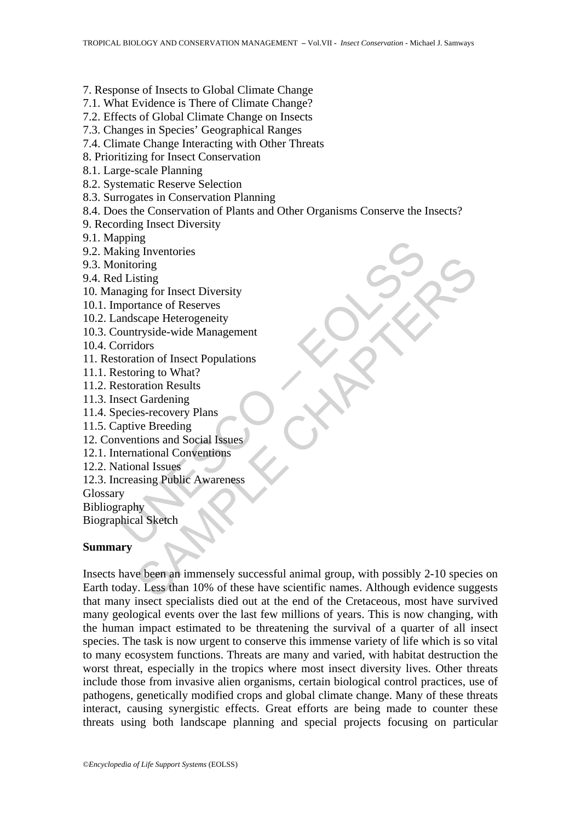### 7. Response of Insects to Global Climate Change

### 7.1. What Evidence is There of Climate Change?

- 7.2. Effects of Global Climate Change on Insects
- 7.3. Changes in Species' Geographical Ranges
- 7.4. Climate Change Interacting with Other Threats
- 8. Prioritizing for Insect Conservation
- 8.1. Large-scale Planning
- 8.2. Systematic Reserve Selection
- 8.3. Surrogates in Conservation Planning
- 8.4. Does the Conservation of Plants and Other Organisms Conserve the Insects?
- 9. Recording Insect Diversity
- 9.1. Mapping
- 9.2. Making Inventories
- 9.3. Monitoring
- 9.4. Red Listing
- 10. Managing for Insect Diversity
- 10.1. Importance of Reserves
- 10.2. Landscape Heterogeneity
- plung<br>
is liventories<br>
is liventories<br>
intering<br>
in IListing<br>
in IListing<br>
in Inventories<br>
intering for Insect Diversity<br>
uportance of Reserves<br>
unutryside-wide Management<br>
prindors<br>
becies-recovery Plans<br>
sect Gradening<br> 10.3. Countryside-wide Management
- 10.4. Corridors
- 11. Restoration of Insect Populations
- 11.1. Restoring to What?
- 11.2. Restoration Results
- 11.3. Insect Gardening
- 11.4. Species-recovery Plans
- 11.5. Captive Breeding
- 12. Conventions and Social Issues
- 12.1. International Conventions
- 12.2. National Issues
- 12.3. Increasing Public Awareness
- Glossary
- Bibliography

Biographical Sketch

#### **Summary**

Fring<br>
Shing<br>
Shing<br>
Shing<br>
Shing for Insect Diversity<br>
strange of Reserves<br>
scape Heterogeneity<br>
tryside-wide Management<br>
tion of Insect Populations<br>
with to and Social Issues<br>
we Breeding<br>
we Breeding<br>
and Issues<br>
and Is Insects have been an immensely successful animal group, with possibly 2-10 species on Earth today. Less than 10% of these have scientific names. Although evidence suggests that many insect specialists died out at the end of the Cretaceous, most have survived many geological events over the last few millions of years. This is now changing, with the human impact estimated to be threatening the survival of a quarter of all insect species. The task is now urgent to conserve this immense variety of life which is so vital to many ecosystem functions. Threats are many and varied, with habitat destruction the worst threat, especially in the tropics where most insect diversity lives. Other threats include those from invasive alien organisms, certain biological control practices, use of pathogens, genetically modified crops and global climate change. Many of these threats interact, causing synergistic effects. Great efforts are being made to counter these threats using both landscape planning and special projects focusing on particular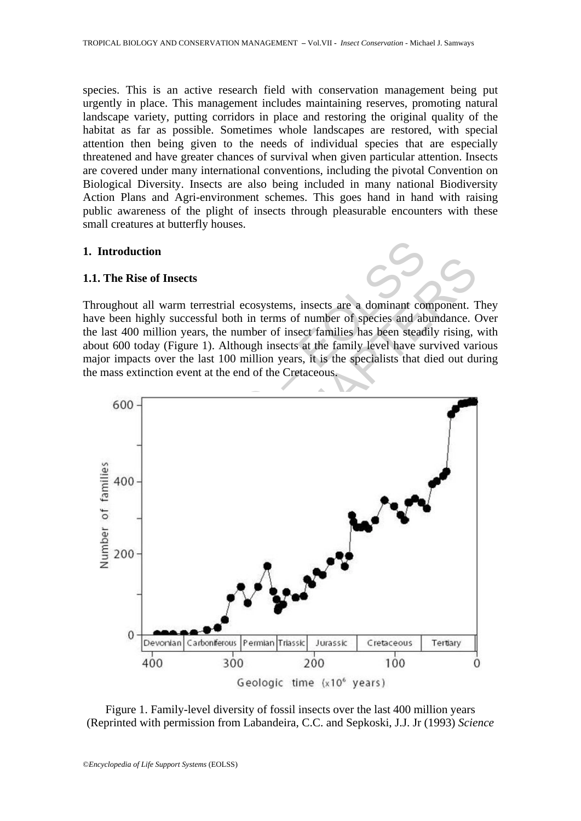species. This is an active research field with conservation management being put urgently in place. This management includes maintaining reserves, promoting natural landscape variety, putting corridors in place and restoring the original quality of the habitat as far as possible. Sometimes whole landscapes are restored, with special attention then being given to the needs of individual species that are especially threatened and have greater chances of survival when given particular attention. Insects are covered under many international conventions, including the pivotal Convention on Biological Diversity. Insects are also being included in many national Biodiversity Action Plans and Agri-environment schemes. This goes hand in hand with raising public awareness of the plight of insects through pleasurable encounters with these small creatures at butterfly houses.

### **1. Introduction**

#### **1.1. The Rise of Insects**



Throughout all warm terrestrial ecosystems, insects are a dominant component. They have been highly successful both in terms of number of species and abundance. Over the last 400 million years, the number of insect families has been steadily rising, with about 600 today (Figure 1). Although insects at the family level have survived various major impacts over the last 100 million years, it is the specialists that died out during the mass extinction event at the end of the Cretaceous.



Figure 1. Family-level diversity of fossil insects over the last 400 million years (Reprinted with permission from Labandeira, C.C. and Sepkoski, J.J. Jr (1993) *Science*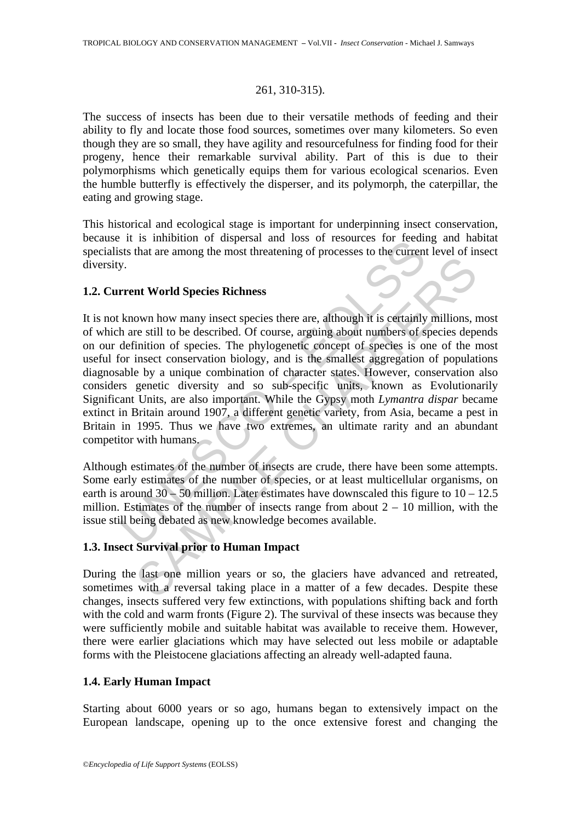#### 261, 310-315).

The success of insects has been due to their versatile methods of feeding and their ability to fly and locate those food sources, sometimes over many kilometers. So even though they are so small, they have agility and resourcefulness for finding food for their progeny, hence their remarkable survival ability. Part of this is due to their polymorphisms which genetically equips them for various ecological scenarios. Even the humble butterfly is effectively the disperser, and its polymorph, the caterpillar, the eating and growing stage.

This historical and ecological stage is important for underpinning insect conservation, because it is inhibition of dispersal and loss of resources for feeding and habitat specialists that are among the most threatening of processes to the current level of insect diversity.

## **1.2. Current World Species Richness**

The is interest threatening of processes to the<br>summon of the contract that are among the most threatening of processes to the current<br>y.<br>Then the stati are among the most threatening of processes to the current<br>worm how Internal and Moral Species Richness<br>
own how many insect species there are, although it is certainly millions, re still to be described. Of course, arguing about numbers of species dependintion of species. The phylogeneti It is not known how many insect species there are, although it is certainly millions, most of which are still to be described. Of course, arguing about numbers of species depends on our definition of species. The phylogenetic concept of species is one of the most useful for insect conservation biology, and is the smallest aggregation of populations diagnosable by a unique combination of character states. However, conservation also considers genetic diversity and so sub-specific units, known as Evolutionarily Significant Units, are also important. While the Gypsy moth *Lymantra dispar* became extinct in Britain around 1907, a different genetic variety, from Asia, became a pest in Britain in 1995. Thus we have two extremes, an ultimate rarity and an abundant competitor with humans.

Although estimates of the number of insects are crude, there have been some attempts. Some early estimates of the number of species, or at least multicellular organisms, on earth is around  $30 - 50$  million. Later estimates have downscaled this figure to  $10 - 12.5$ million. Estimates of the number of insects range from about  $2 - 10$  million, with the issue still being debated as new knowledge becomes available.

## **1.3. Insect Survival prior to Human Impact**

During the last one million years or so, the glaciers have advanced and retreated, sometimes with a reversal taking place in a matter of a few decades. Despite these changes, insects suffered very few extinctions, with populations shifting back and forth with the cold and warm fronts (Figure 2). The survival of these insects was because they were sufficiently mobile and suitable habitat was available to receive them. However, there were earlier glaciations which may have selected out less mobile or adaptable forms with the Pleistocene glaciations affecting an already well-adapted fauna.

## **1.4. Early Human Impact**

Starting about 6000 years or so ago, humans began to extensively impact on the European landscape, opening up to the once extensive forest and changing the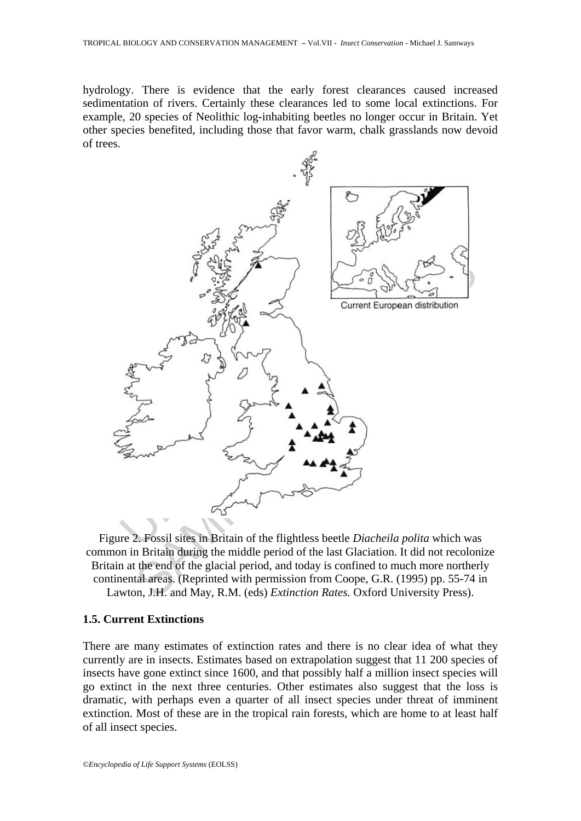hydrology. There is evidence that the early forest clearances caused increased sedimentation of rivers. Certainly these clearances led to some local extinctions. For example, 20 species of Neolithic log-inhabiting beetles no longer occur in Britain. Yet other species benefited, including those that favor warm, chalk grasslands now devoid of trees.



Figure 2. Fossil sites in Britain of the flightless beetle *Diacheila polita* which was common in Britain during the middle period of the last Glaciation. It did not recolonize Britain at the end of the glacial period, and today is confined to much more northerly continental areas. (Reprinted with permission from Coope, G.R. (1995) pp. 55-74 in Lawton, J.H. and May, R.M. (eds) *Extinction Rates.* Oxford University Press).

#### **1.5. Current Extinctions**

There are many estimates of extinction rates and there is no clear idea of what they currently are in insects. Estimates based on extrapolation suggest that 11 200 species of insects have gone extinct since 1600, and that possibly half a million insect species will go extinct in the next three centuries. Other estimates also suggest that the loss is dramatic, with perhaps even a quarter of all insect species under threat of imminent extinction. Most of these are in the tropical rain forests, which are home to at least half of all insect species.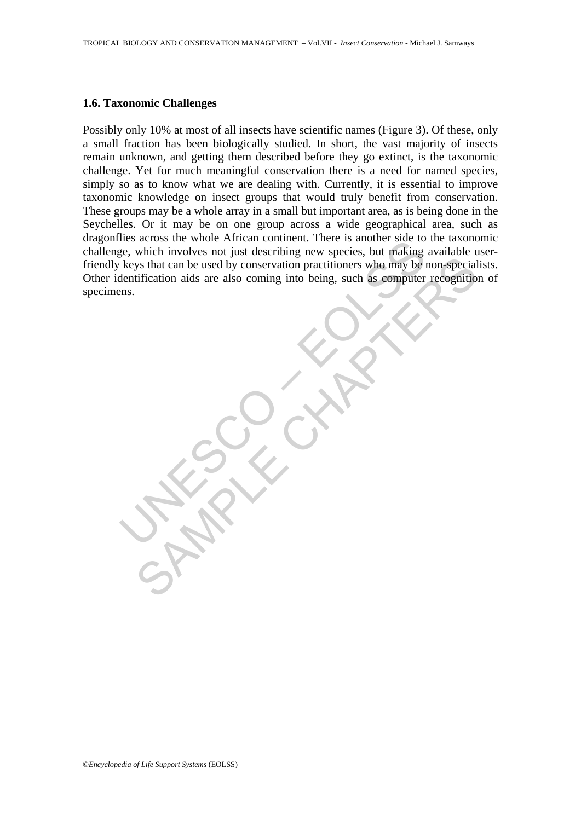#### **1.6. Taxonomic Challenges**

The starts the World Artical Contract Contract Contract Contract Contract Contract Contract Contract Contract Contract Contract Contract Contract Contract Contract Contract Contract Contract Contract Contract Contract Cont Sys that can be used by conservation practitioners who may be non-special<br>tification aids are also coming into being, such as computer recognition<br>tification aids are also coming into being, such as computer recognition<br>an Possibly only 10% at most of all insects have scientific names (Figure 3). Of these, only a small fraction has been biologically studied. In short, the vast majority of insects remain unknown, and getting them described before they go extinct, is the taxonomic challenge. Yet for much meaningful conservation there is a need for named species, simply so as to know what we are dealing with. Currently, it is essential to improve taxonomic knowledge on insect groups that would truly benefit from conservation. These groups may be a whole array in a small but important area, as is being done in the Seychelles. Or it may be on one group across a wide geographical area, such as dragonflies across the whole African continent. There is another side to the taxonomic challenge, which involves not just describing new species, but making available userfriendly keys that can be used by conservation practitioners who may be non-specialists. Other identification aids are also coming into being, such as computer recognition of specimens.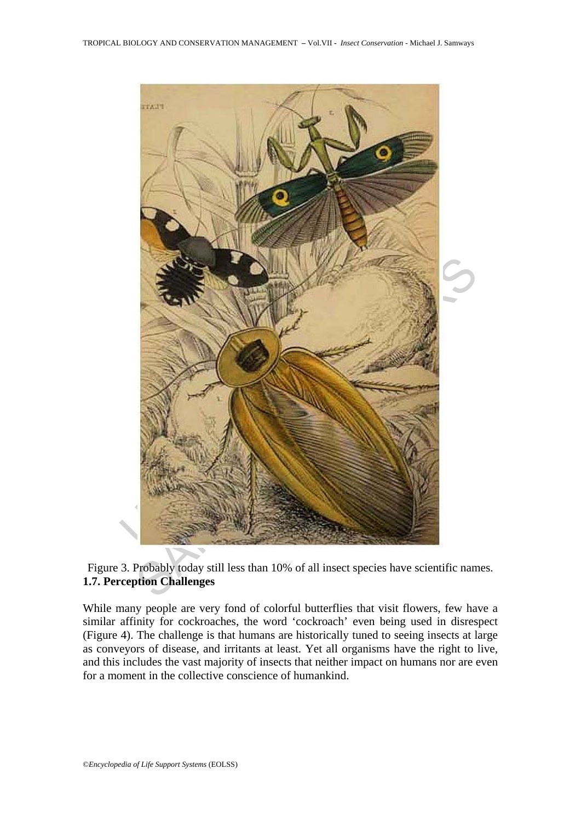

Figure 3. Probably today still less than 10% of all insect species have scientific names. **1.7. Perception Challenges** 

While many people are very fond of colorful butterflies that visit flowers, few have a similar affinity for cockroaches, the word 'cockroach' even being used in disrespect (Figure 4). The challenge is that humans are historically tuned to seeing insects at large as conveyors of disease, and irritants at least. Yet all organisms have the right to live, and this includes the vast majority of insects that neither impact on humans nor are even for a moment in the collective conscience of humankind.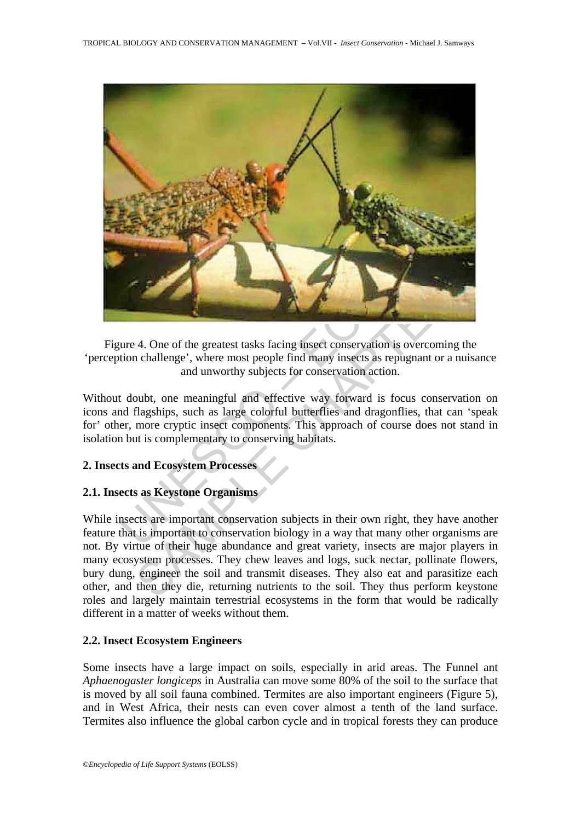

Figure 4. One of the greatest tasks facing insect conservation is overcoming the 'perception challenge', where most people find many insects as repugnant or a nuisance and unworthy subjects for conservation action.

Without doubt, one meaningful and effective way forward is focus conservation on icons and flagships, such as large colorful butterflies and dragonflies, that can 'speak for' other, more cryptic insect components. This approach of course does not stand in isolation but is complementary to conserving habitats.

## **2. Insects and Ecosystem Processes**

## **2.1. Insects as Keystone Organisms**

4. One of the greatest tasks facing insect conservation is overcoming the<br>a challenge', where most people find many insects as repugnant or a nuisa<br>and unworthy subjects for conservation action.<br>Dubt, one meaningful and ef While insects are important conservation subjects in their own right, they have another feature that is important to conservation biology in a way that many other organisms are not. By virtue of their huge abundance and great variety, insects are major players in many ecosystem processes. They chew leaves and logs, suck nectar, pollinate flowers, bury dung, engineer the soil and transmit diseases. They also eat and parasitize each other, and then they die, returning nutrients to the soil. They thus perform keystone roles and largely maintain terrestrial ecosystems in the form that would be radically different in a matter of weeks without them.

## **2.2. Insect Ecosystem Engineers**

Some insects have a large impact on soils, especially in arid areas. The Funnel ant *Aphaenogaster longiceps* in Australia can move some 80% of the soil to the surface that is moved by all soil fauna combined. Termites are also important engineers (Figure 5), and in West Africa, their nests can even cover almost a tenth of the land surface. Termites also influence the global carbon cycle and in tropical forests they can produce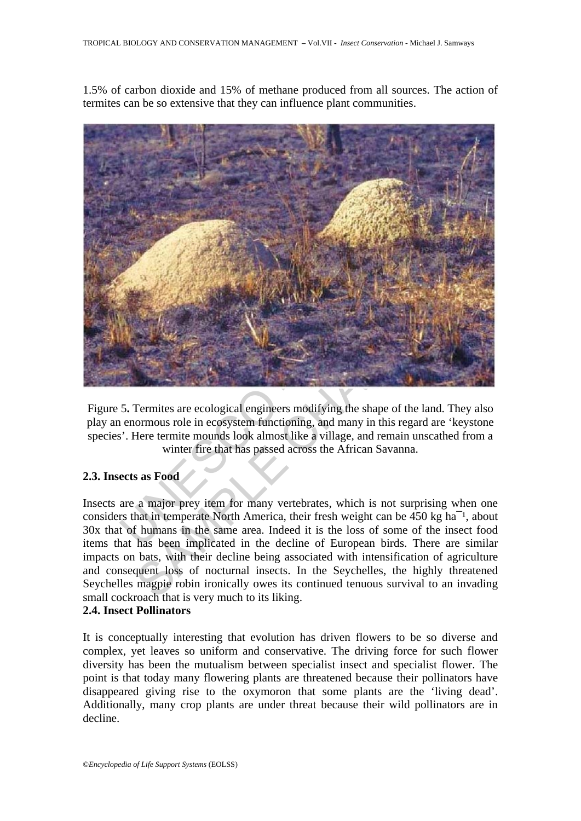1.5% of carbon dioxide and 15% of methane produced from all sources. The action of termites can be so extensive that they can influence plant communities.



Figure 5**.** Termites are ecological engineers modifying the shape of the land. They also play an enormous role in ecosystem functioning, and many in this regard are 'keystone species'. Here termite mounds look almost like a village, and remain unscathed from a winter fire that has passed across the African Savanna.

## **2.3. Insects as Food**

Insects are a major prey item for many vertebrates, which is not surprising when one considers that in temperate North America, their fresh weight can be 450 kg ha<sup>-1</sup>, about 30x that of humans in the same area. Indeed it is the loss of some of the insect food items that has been implicated in the decline of European birds. There are similar impacts on bats, with their decline being associated with intensification of agriculture and consequent loss of nocturnal insects. In the Seychelles, the highly threatened Seychelles magpie robin ironically owes its continued tenuous survival to an invading small cockroach that is very much to its liking.

## **2.4. Insect Pollinators**

It is conceptually interesting that evolution has driven flowers to be so diverse and complex, yet leaves so uniform and conservative. The driving force for such flower diversity has been the mutualism between specialist insect and specialist flower. The point is that today many flowering plants are threatened because their pollinators have disappeared giving rise to the oxymoron that some plants are the 'living dead'. Additionally, many crop plants are under threat because their wild pollinators are in decline.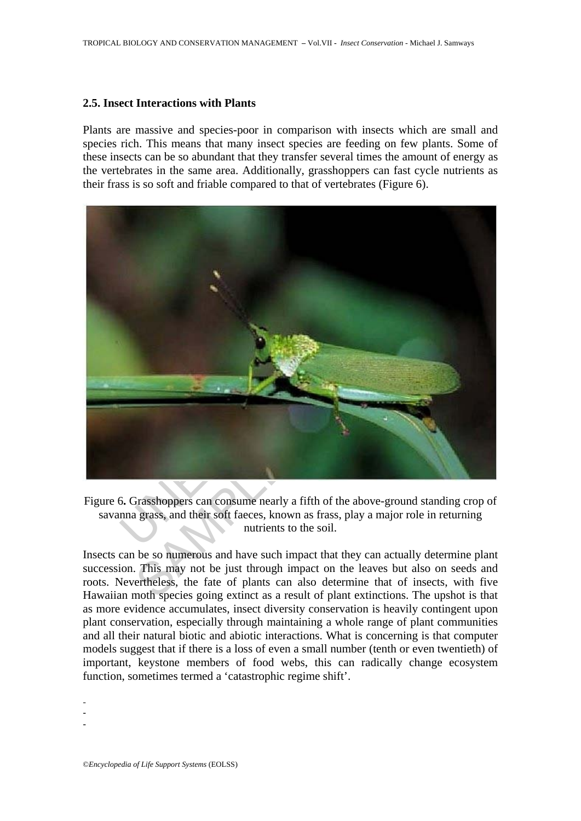#### **2.5. Insect Interactions with Plants**

Plants are massive and species-poor in comparison with insects which are small and species rich. This means that many insect species are feeding on few plants. Some of these insects can be so abundant that they transfer several times the amount of energy as the vertebrates in the same area. Additionally, grasshoppers can fast cycle nutrients as their frass is so soft and friable compared to that of vertebrates (Figure 6).



Figure 6**.** Grasshoppers can consume nearly a fifth of the above-ground standing crop of savanna grass, and their soft faeces, known as frass, play a major role in returning nutrients to the soil.

Insects can be so numerous and have such impact that they can actually determine plant succession. This may not be just through impact on the leaves but also on seeds and roots. Nevertheless, the fate of plants can also determine that of insects, with five Hawaiian moth species going extinct as a result of plant extinctions. The upshot is that as more evidence accumulates, insect diversity conservation is heavily contingent upon plant conservation, especially through maintaining a whole range of plant communities and all their natural biotic and abiotic interactions. What is concerning is that computer models suggest that if there is a loss of even a small number (tenth or even twentieth) of important, keystone members of food webs, this can radically change ecosystem function, sometimes termed a 'catastrophic regime shift'.

-

- -

©*Encyclopedia of Life Support Systems* (EOLSS)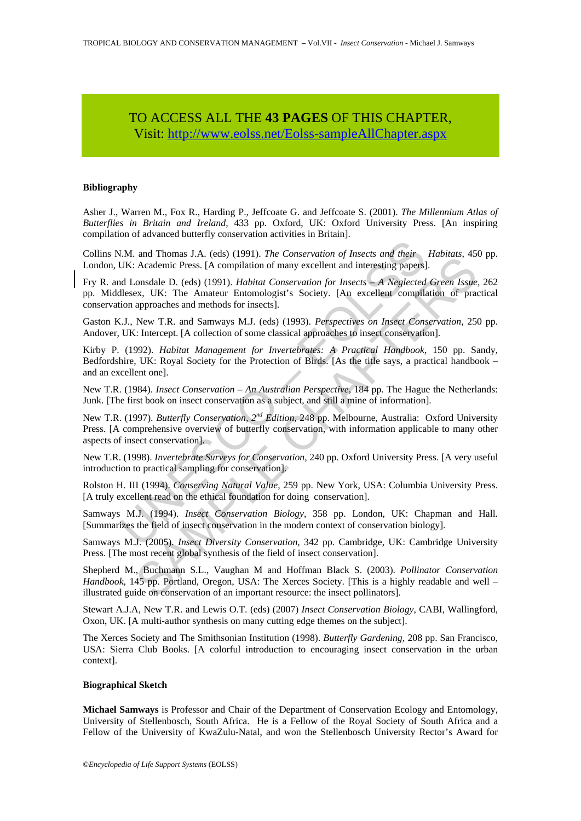## TO ACCESS ALL THE **43 PAGES** OF THIS CHAPTER, Visit: [http://www.eolss.net/Eolss-sampleAllChapter.aspx](https://www.eolss.net/ebooklib/sc_cart.aspx?File=E6-142-TPE-28)

#### **Bibliography**

Asher J., Warren M., Fox R., Harding P., Jeffcoate G. and Jeffcoate S. (2001). *The Millennium Atlas of Butterflies in Britain and Ireland,* 433 pp. Oxford, UK: Oxford University Press. [An inspiring compilation of advanced butterfly conservation activities in Britain].

Collins N.M. and Thomas J.A. (eds) (1991). *The Conservation of Insects and their Habitats,* 450 pp. London, UK: Academic Press. [A compilation of many excellent and interesting papers].

Fry R. and Lonsdale D. (eds) (1991). *Habitat Conservation for Insects – A Neglected Green Issue,* 262 pp. Middlesex, UK: The Amateur Entomologist's Society. [An excellent compilation of practical conservation approaches and methods for insects].

Gaston K.J., New T.R. and Samways M.J. (eds) (1993). *Perspectives on Insect Conservation,* 250 pp. Andover, UK: Intercept. [A collection of some classical approaches to insect conservation].

I.M. and Thomas J.A. (eds) (1991). *The Conservation of Insects and their* UK: Academic Press. [A compilation of many excellent and interesting papers) d Lonsdale D. (eds) (1991). *Habitat Conservation for Insects* – *A N* and notonas 3.7, (1891). *The Conservation of mester and notonas SACCON* (Reconservation of mesters and methods on the conservation of mesters and neglected Green Issue, UK: The Amedemic Press. (A complitation of many exce Kirby P. (1992). *Habitat Management for Invertebrates: A Practical Handbook,* 150 pp. Sandy, Bedfordshire, UK: Royal Society for the Protection of Birds. [As the title says, a practical handbook – and an excellent one].

New T.R. (1984). *Insect Conservation – An Australian Perspective,* 184 pp. The Hague the Netherlands: Junk. [The first book on insect conservation as a subject, and still a mine of information].

New T.R. (1997). *Butterfly Conservation, 2nd Edition,* 248 pp. Melbourne, Australia: Oxford University Press. [A comprehensive overview of butterfly conservation, with information applicable to many other aspects of insect conservation].

New T.R. (1998). *Invertebrate Surveys for Conservation,* 240 pp. Oxford University Press. [A very useful introduction to practical sampling for conservation].

Rolston H. III (1994). *Conserving Natural Value,* 259 pp. New York, USA: Columbia University Press. [A truly excellent read on the ethical foundation for doing conservation].

Samways M.J. (1994). *Insect Conservation Biology,* 358 pp. London, UK: Chapman and Hall. [Summarizes the field of insect conservation in the modern context of conservation biology].

Samways M.J. (2005). *Insect Diversity Conservation,* 342 pp. Cambridge, UK: Cambridge University Press. [The most recent global synthesis of the field of insect conservation].

Shepherd M., Buchmann S.L., Vaughan M and Hoffman Black S. (2003). *Pollinator Conservation Handbook,* 145 pp. Portland, Oregon, USA: The Xerces Society. [This is a highly readable and well – illustrated guide on conservation of an important resource: the insect pollinators].

Stewart A.J.A, New T.R. and Lewis O.T. (eds) (2007) *Insect Conservation Biology*, CABI, Wallingford, Oxon, UK. [A multi-author synthesis on many cutting edge themes on the subject].

The Xerces Society and The Smithsonian Institution (1998). *Butterfly Gardening,* 208 pp. San Francisco, USA: Sierra Club Books. [A colorful introduction to encouraging insect conservation in the urban context].

#### **Biographical Sketch**

**Michael Samways** is Professor and Chair of the Department of Conservation Ecology and Entomology, University of Stellenbosch, South Africa. He is a Fellow of the Royal Society of South Africa and a Fellow of the University of KwaZulu-Natal, and won the Stellenbosch University Rector's Award for